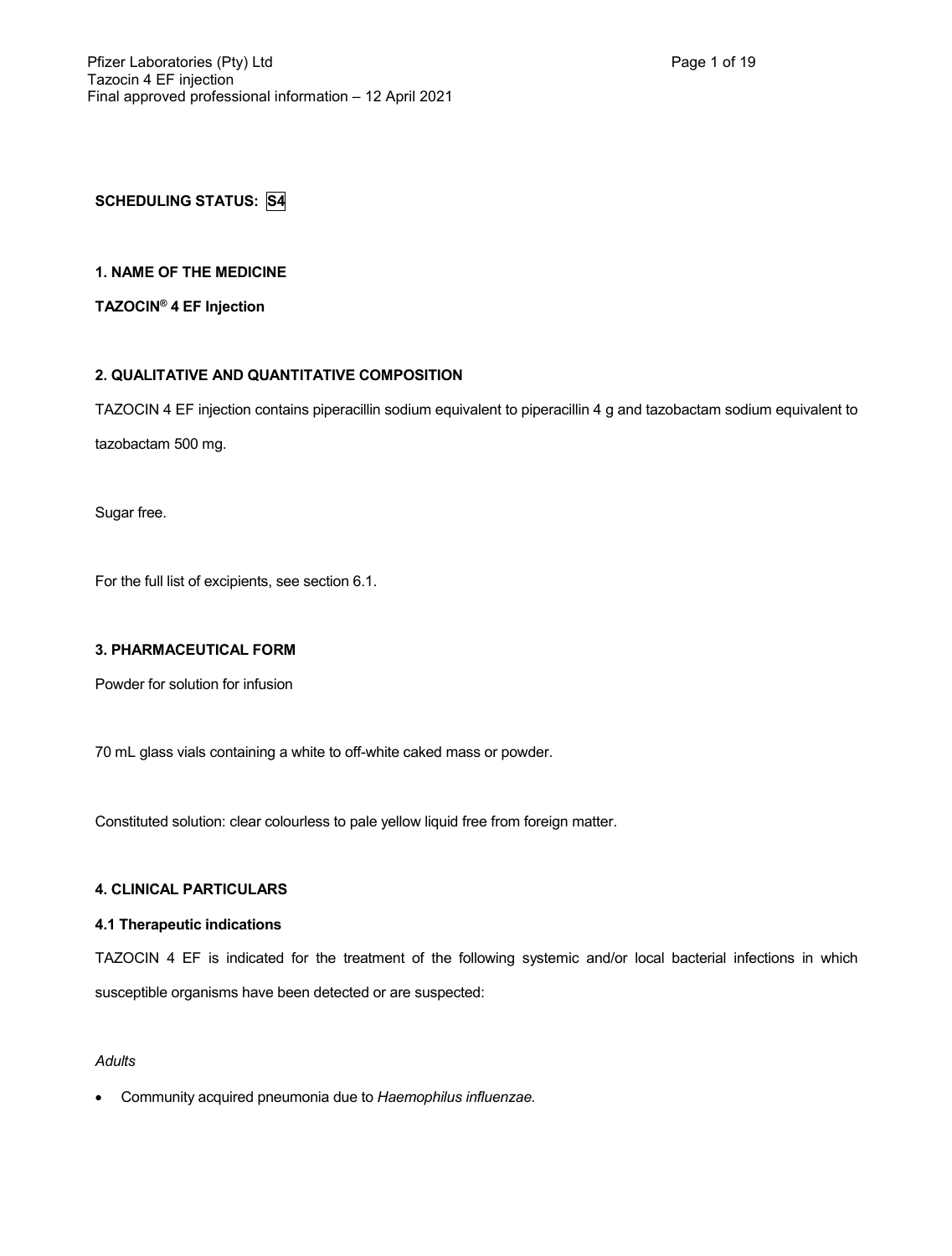# **SCHEDULING STATUS: S4**

### **1. NAME OF THE MEDICINE**

**TAZOCIN® 4 EF Injection**

# **2. QUALITATIVE AND QUANTITATIVE COMPOSITION**

TAZOCIN 4 EF injection contains piperacillin sodium equivalent to piperacillin 4 g and tazobactam sodium equivalent to tazobactam 500 mg.

Sugar free.

For the full list of excipients, see section 6.1.

### **3. PHARMACEUTICAL FORM**

Powder for solution for infusion

70 mL glass vials containing a white to off-white caked mass or powder.

Constituted solution: clear colourless to pale yellow liquid free from foreign matter.

# **4. CLINICAL PARTICULARS**

### **4.1 Therapeutic indications**

TAZOCIN 4 EF is indicated for the treatment of the following systemic and/or local bacterial infections in which susceptible organisms have been detected or are suspected:

### *Adults*

Community acquired pneumonia due to *Haemophilus influenzae.*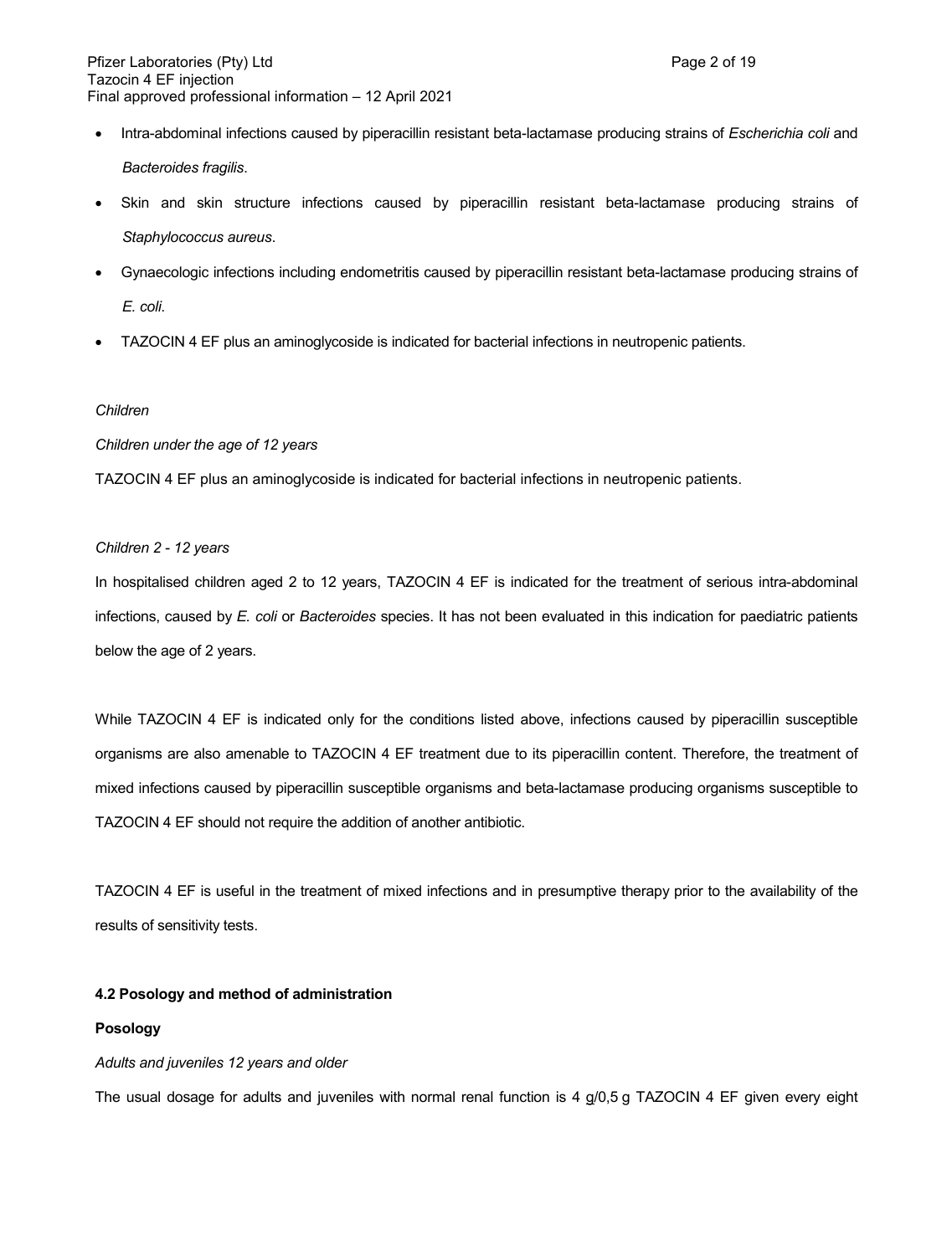Intra-abdominal infections caused by piperacillin resistant beta-lactamase producing strains of *Escherichia coli* and *Bacteroides fragilis*.

 Skin and skin structure infections caused by piperacillin resistant beta-lactamase producing strains of *Staphylococcus aureus*.

- Gynaecologic infections including endometritis caused by piperacillin resistant beta-lactamase producing strains of *E. coli*.
- TAZOCIN 4 EF plus an aminoglycoside is indicated for bacterial infections in neutropenic patients.

### *Children*

### *Children under the age of 12 years*

TAZOCIN 4 EF plus an aminoglycoside is indicated for bacterial infections in neutropenic patients.

### *Children 2 - 12 years*

In hospitalised children aged 2 to 12 years, TAZOCIN 4 EF is indicated for the treatment of serious intra-abdominal infections, caused by *E. coli* or *Bacteroides* species. It has not been evaluated in this indication for paediatric patients below the age of 2 years.

While TAZOCIN 4 EF is indicated only for the conditions listed above, infections caused by piperacillin susceptible organisms are also amenable to TAZOCIN 4 EF treatment due to its piperacillin content. Therefore, the treatment of mixed infections caused by piperacillin susceptible organisms and beta-lactamase producing organisms susceptible to TAZOCIN 4 EF should not require the addition of another antibiotic.

TAZOCIN 4 EF is useful in the treatment of mixed infections and in presumptive therapy prior to the availability of the results of sensitivity tests.

### **4.2 Posology and method of administration**

### **Posology**

### *Adults and juveniles 12 years and older*

The usual dosage for adults and juveniles with normal renal function is 4 g/0,5 g TAZOCIN 4 EF given every eight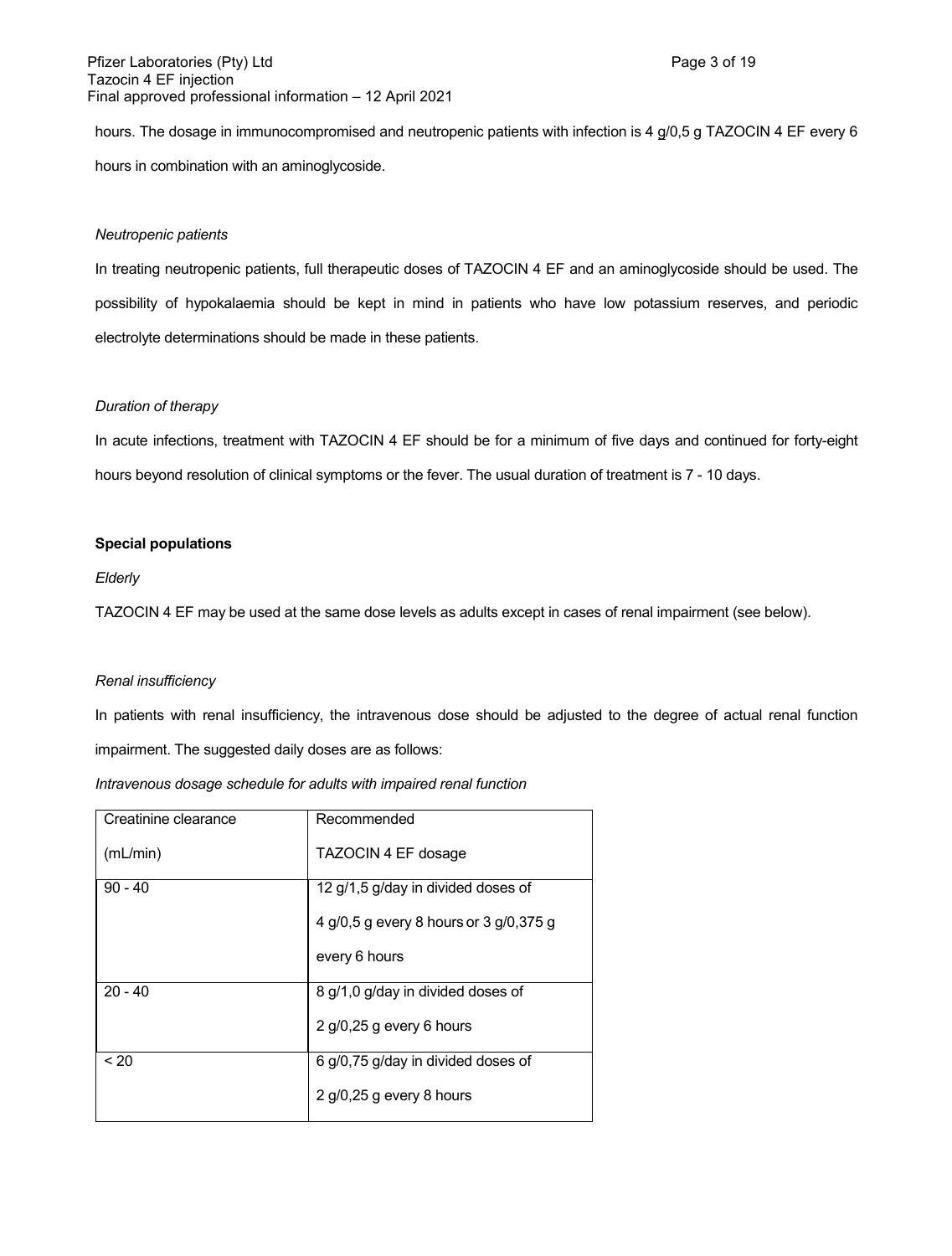hours. The dosage in immunocompromised and neutropenic patients with infection is 4 g/0,5 g TAZOCIN 4 EF every 6 hours in combination with an aminoglycoside.

### *Neutropenic patients*

In treating neutropenic patients, full therapeutic doses of TAZOCIN 4 EF and an aminoglycoside should be used. The possibility of hypokalaemia should be kept in mind in patients who have low potassium reserves, and periodic electrolyte determinations should be made in these patients.

### *Duration of therapy*

In acute infections, treatment with TAZOCIN 4 EF should be for a minimum of five days and continued for forty-eight hours beyond resolution of clinical symptoms or the fever. The usual duration of treatment is 7 - 10 days.

### **Special populations**

### *Elderly*

TAZOCIN 4 EF may be used at the same dose levels as adults except in cases of renal impairment (see below).

#### *Renal insufficiency*

In patients with renal insufficiency, the intravenous dose should be adjusted to the degree of actual renal function impairment. The suggested daily doses are as follows:

| Intravenous dosage schedule for adults with impaired renal function |  |  |  |  |
|---------------------------------------------------------------------|--|--|--|--|
|                                                                     |  |  |  |  |

| Creatinine clearance | Recommended                            |
|----------------------|----------------------------------------|
|                      |                                        |
|                      |                                        |
| (mL/min)             | TAZOCIN 4 EF dosage                    |
|                      |                                        |
| $90 - 40$            | 12 g/1,5 g/day in divided doses of     |
|                      |                                        |
|                      |                                        |
|                      | 4 g/0,5 g every 8 hours or 3 g/0,375 g |
|                      |                                        |
|                      |                                        |
|                      | every 6 hours                          |
|                      |                                        |
| $20 - 40$            | 8 g/1,0 g/day in divided doses of      |
|                      |                                        |
|                      |                                        |
|                      | 2 g/0,25 g every 6 hours               |
|                      |                                        |
| ~120                 | 6 g/0,75 g/day in divided doses of     |
|                      |                                        |
|                      |                                        |
|                      | $2$ g/0,25 g every 8 hours             |
|                      |                                        |
|                      |                                        |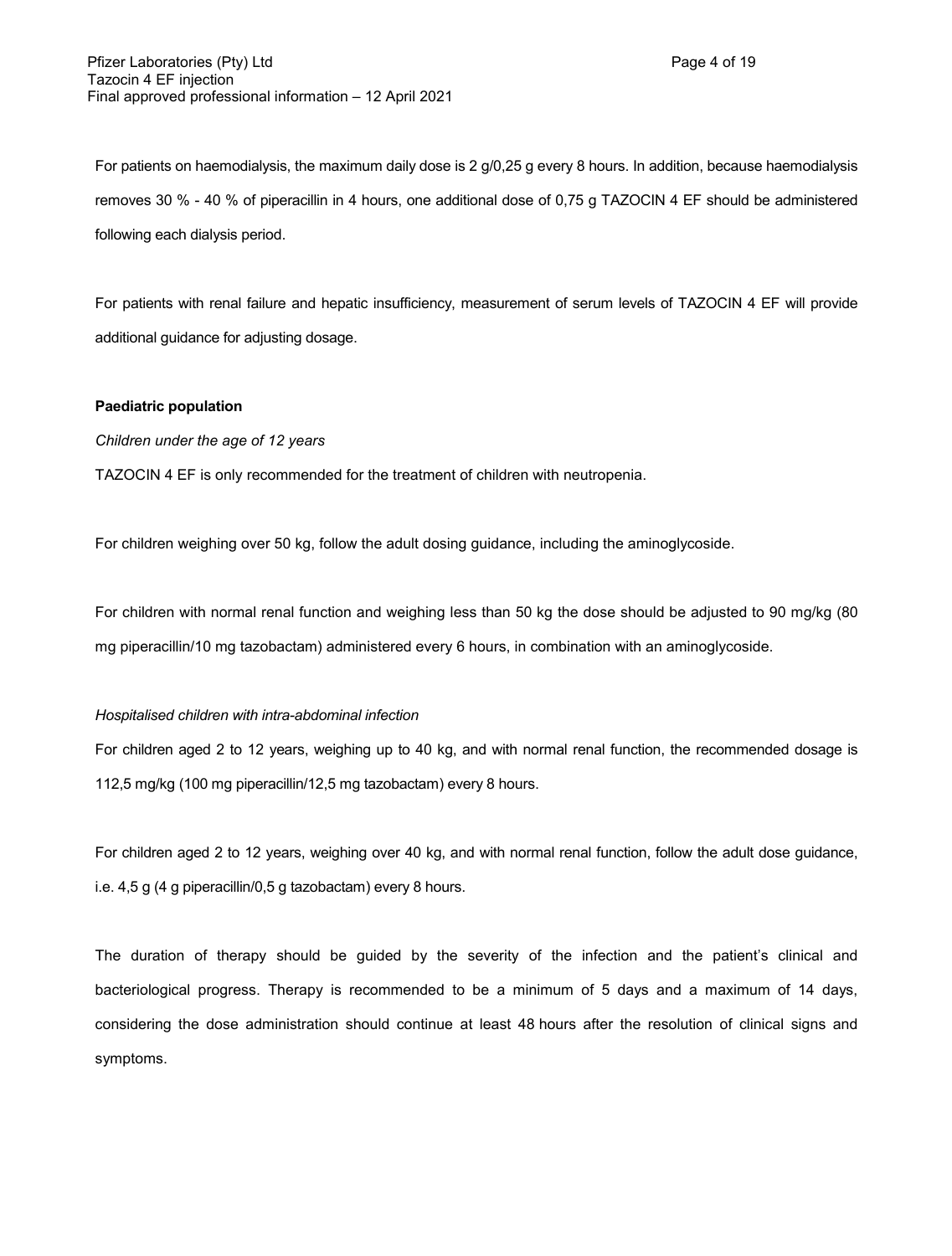For patients on haemodialysis, the maximum daily dose is 2 g/0,25 g every 8 hours. In addition, because haemodialysis removes 30 % - 40 % of piperacillin in 4 hours, one additional dose of 0,75 g TAZOCIN 4 EF should be administered following each dialysis period.

For patients with renal failure and hepatic insufficiency, measurement of serum levels of TAZOCIN 4 EF will provide additional guidance for adjusting dosage.

### **Paediatric population**

*Children under the age of 12 years*

TAZOCIN 4 EF is only recommended for the treatment of children with neutropenia.

For children weighing over 50 kg, follow the adult dosing guidance, including the aminoglycoside.

For children with normal renal function and weighing less than 50 kg the dose should be adjusted to 90 mg/kg (80 mg piperacillin/10 mg tazobactam) administered every 6 hours, in combination with an aminoglycoside.

#### *Hospitalised children with intra-abdominal infection*

For children aged 2 to 12 years, weighing up to 40 kg, and with normal renal function, the recommended dosage is 112,5 mg/kg (100 mg piperacillin/12,5 mg tazobactam) every 8 hours.

For children aged 2 to 12 years, weighing over 40 kg, and with normal renal function, follow the adult dose guidance, i.e. 4,5 g (4 g piperacillin/0,5 g tazobactam) every 8 hours.

The duration of therapy should be guided by the severity of the infection and the patient's clinical and bacteriological progress. Therapy is recommended to be a minimum of 5 days and a maximum of 14 days, considering the dose administration should continue at least 48 hours after the resolution of clinical signs and symptoms.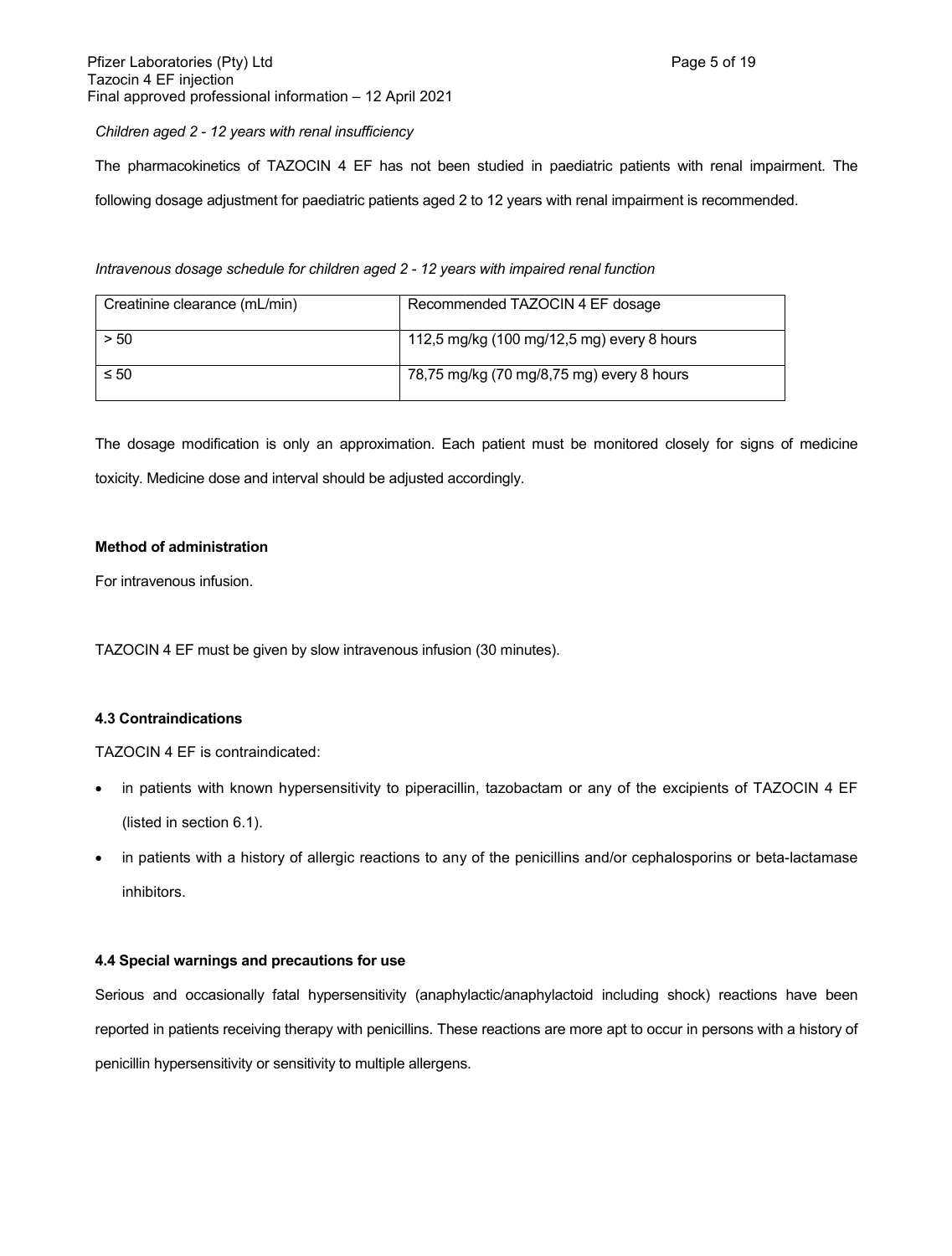### *Children aged 2 - 12 years with renal insufficiency*

The pharmacokinetics of TAZOCIN 4 EF has not been studied in paediatric patients with renal impairment. The following dosage adjustment for paediatric patients aged 2 to 12 years with renal impairment is recommended.

*Intravenous dosage schedule for children aged 2 - 12 years with impaired renal function*

| Creatinine clearance (mL/min) | Recommended TAZOCIN 4 EF dosage            |
|-------------------------------|--------------------------------------------|
| > 50                          | 112,5 mg/kg (100 mg/12,5 mg) every 8 hours |
| $\leq 50$                     | 78,75 mg/kg (70 mg/8,75 mg) every 8 hours  |

The dosage modification is only an approximation. Each patient must be monitored closely for signs of medicine toxicity. Medicine dose and interval should be adjusted accordingly.

### **Method of administration**

For intravenous infusion.

TAZOCIN 4 EF must be given by slow intravenous infusion (30 minutes).

### **4.3 Contraindications**

TAZOCIN 4 EF is contraindicated:

- in patients with known hypersensitivity to piperacillin, tazobactam or any of the excipients of TAZOCIN 4 EF (listed in section 6.1).
- in patients with a history of allergic reactions to any of the penicillins and/or cephalosporins or beta-lactamase inhibitors.

### **4.4 Special warnings and precautions for use**

Serious and occasionally fatal hypersensitivity (anaphylactic/anaphylactoid including shock) reactions have been reported in patients receiving therapy with penicillins. These reactions are more apt to occur in persons with a history of penicillin hypersensitivity or sensitivity to multiple allergens.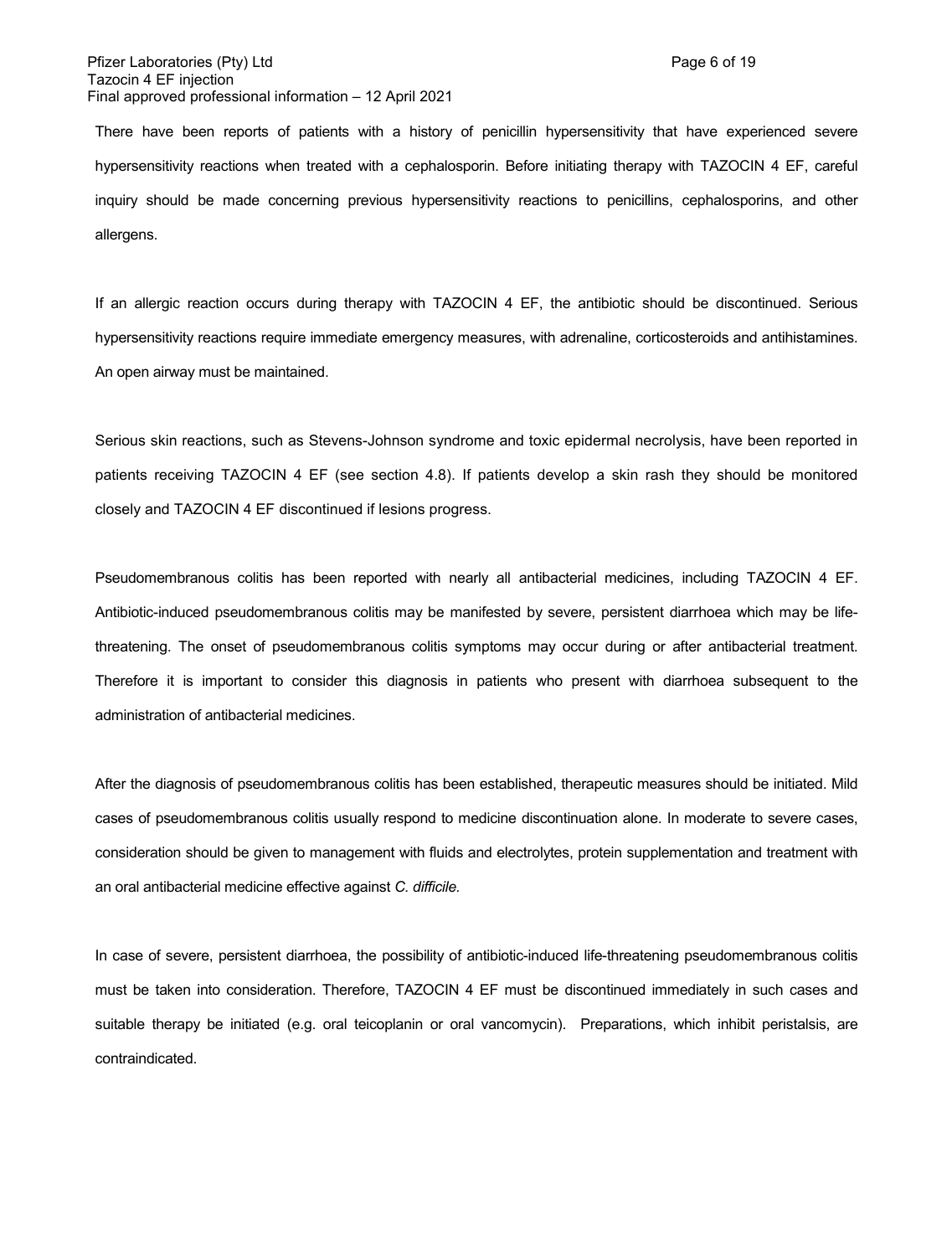There have been reports of patients with a history of penicillin hypersensitivity that have experienced severe hypersensitivity reactions when treated with a cephalosporin. Before initiating therapy with TAZOCIN 4 EF, careful inquiry should be made concerning previous hypersensitivity reactions to penicillins, cephalosporins, and other allergens.

If an allergic reaction occurs during therapy with TAZOCIN 4 EF, the antibiotic should be discontinued. Serious hypersensitivity reactions require immediate emergency measures, with adrenaline, corticosteroids and antihistamines. An open airway must be maintained.

Serious skin reactions, such as Stevens-Johnson syndrome and toxic epidermal necrolysis, have been reported in patients receiving TAZOCIN 4 EF (see section 4.8). If patients develop a skin rash they should be monitored closely and TAZOCIN 4 EF discontinued if lesions progress.

Pseudomembranous colitis has been reported with nearly all antibacterial medicines, including TAZOCIN 4 EF. Antibiotic-induced pseudomembranous colitis may be manifested by severe, persistent diarrhoea which may be lifethreatening. The onset of pseudomembranous colitis symptoms may occur during or after antibacterial treatment. Therefore it is important to consider this diagnosis in patients who present with diarrhoea subsequent to the administration of antibacterial medicines.

After the diagnosis of pseudomembranous colitis has been established, therapeutic measures should be initiated. Mild cases of pseudomembranous colitis usually respond to medicine discontinuation alone. In moderate to severe cases, consideration should be given to management with fluids and electrolytes, protein supplementation and treatment with an oral antibacterial medicine effective against *C. difficile.*

In case of severe, persistent diarrhoea, the possibility of antibiotic-induced life-threatening pseudomembranous colitis must be taken into consideration. Therefore, TAZOCIN 4 EF must be discontinued immediately in such cases and suitable therapy be initiated (e.g. oral teicoplanin or oral vancomycin). Preparations, which inhibit peristalsis, are contraindicated.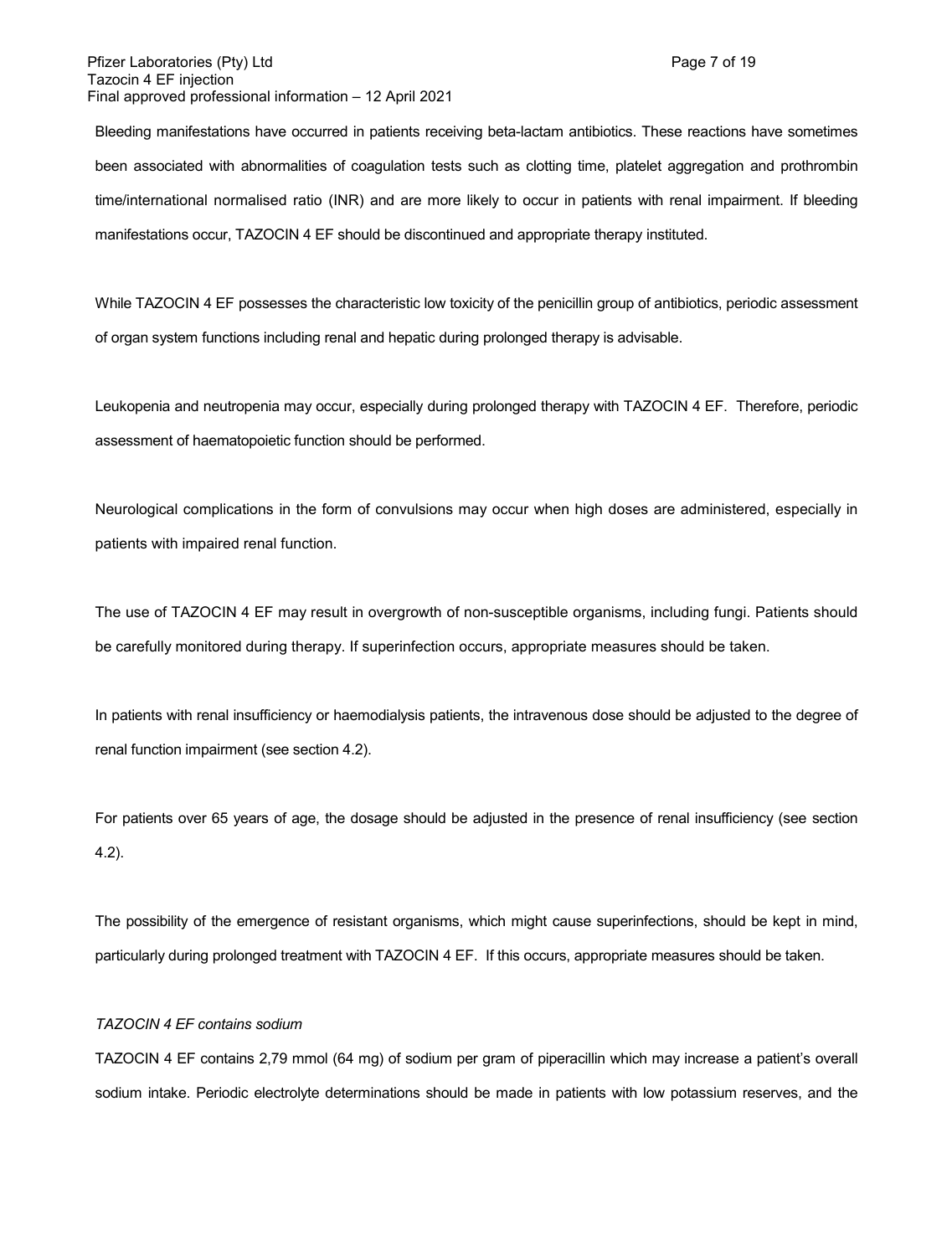### Pfizer Laboratories (Pty) Ltd **Page 7** of 19 Tazocin 4 EF injection Final approved professional information – 12 April 2021

Bleeding manifestations have occurred in patients receiving beta-lactam antibiotics. These reactions have sometimes been associated with abnormalities of coagulation tests such as clotting time, platelet aggregation and prothrombin time/international normalised ratio (INR) and are more likely to occur in patients with renal impairment. If bleeding manifestations occur, TAZOCIN 4 EF should be discontinued and appropriate therapy instituted.

While TAZOCIN 4 EF possesses the characteristic low toxicity of the penicillin group of antibiotics, periodic assessment of organ system functions including renal and hepatic during prolonged therapy is advisable.

Leukopenia and neutropenia may occur, especially during prolonged therapy with TAZOCIN 4 EF. Therefore, periodic assessment of haematopoietic function should be performed.

Neurological complications in the form of convulsions may occur when high doses are administered, especially in patients with impaired renal function.

The use of TAZOCIN 4 EF may result in overgrowth of non-susceptible organisms, including fungi. Patients should be carefully monitored during therapy. If superinfection occurs, appropriate measures should be taken.

In patients with renal insufficiency or haemodialysis patients, the intravenous dose should be adjusted to the degree of renal function impairment (see section 4.2).

For patients over 65 years of age, the dosage should be adjusted in the presence of renal insufficiency (see section 4.2).

The possibility of the emergence of resistant organisms, which might cause superinfections, should be kept in mind, particularly during prolonged treatment with TAZOCIN 4 EF. If this occurs, appropriate measures should be taken.

### *TAZOCIN 4 EF contains sodium*

TAZOCIN 4 EF contains 2,79 mmol (64 mg) of sodium per gram of piperacillin which may increase a patient's overall sodium intake. Periodic electrolyte determinations should be made in patients with low potassium reserves, and the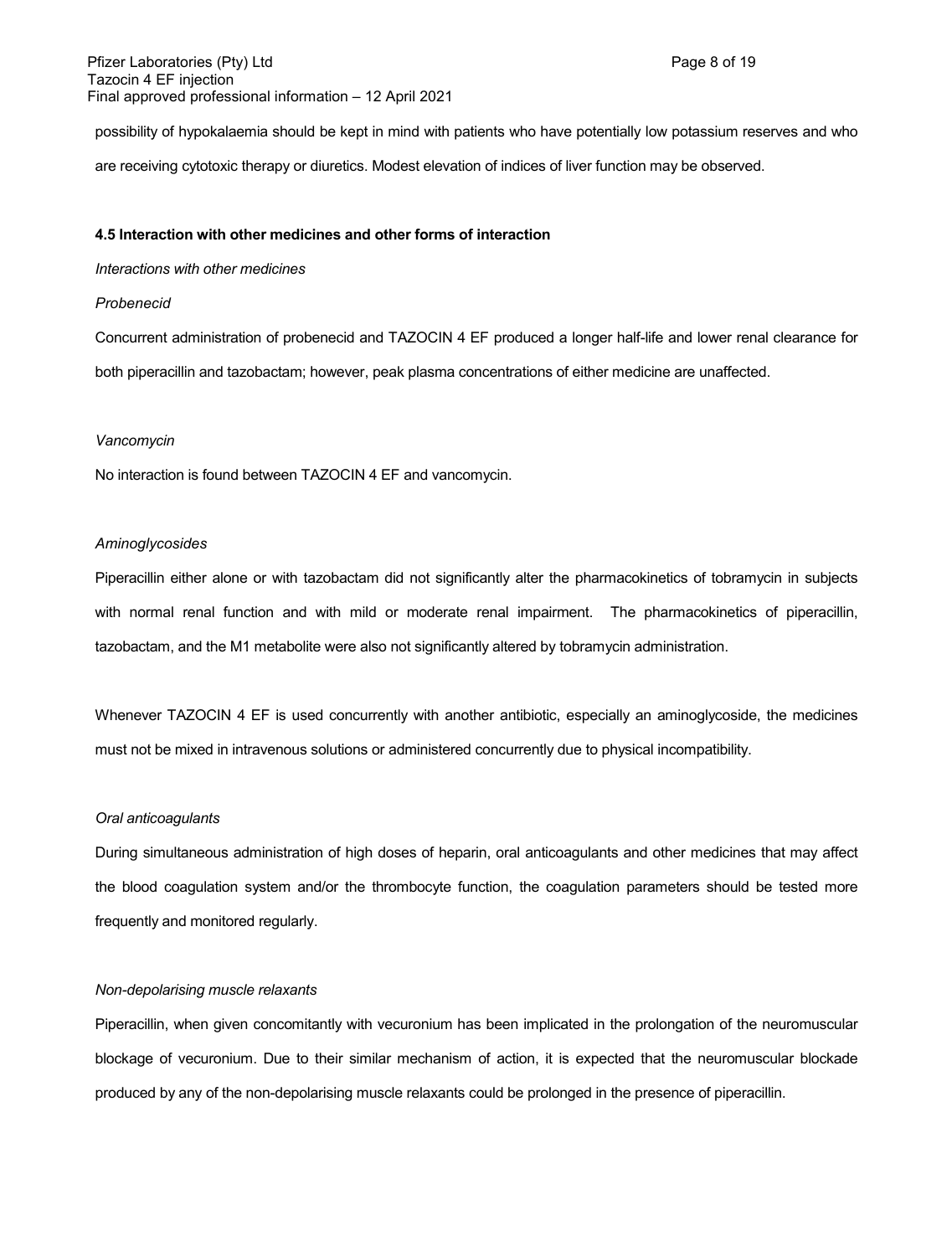possibility of hypokalaemia should be kept in mind with patients who have potentially low potassium reserves and who are receiving cytotoxic therapy or diuretics. Modest elevation of indices of liver function may be observed.

#### **4.5 Interaction with other medicines and other forms of interaction**

#### *Interactions with other medicines*

### *Probenecid*

Concurrent administration of probenecid and TAZOCIN 4 EF produced a longer half-life and lower renal clearance for both piperacillin and tazobactam; however, peak plasma concentrations of either medicine are unaffected.

#### *Vancomycin*

No interaction is found between TAZOCIN 4 EF and vancomycin.

### *Aminoglycosides*

Piperacillin either alone or with tazobactam did not significantly alter the pharmacokinetics of tobramycin in subjects with normal renal function and with mild or moderate renal impairment. The pharmacokinetics of piperacillin, tazobactam, and the M1 metabolite were also not significantly altered by tobramycin administration.

Whenever TAZOCIN 4 EF is used concurrently with another antibiotic, especially an aminoglycoside, the medicines must not be mixed in intravenous solutions or administered concurrently due to physical incompatibility.

#### *Oral anticoagulants*

During simultaneous administration of high doses of heparin, oral anticoagulants and other medicines that may affect the blood coagulation system and/or the thrombocyte function, the coagulation parameters should be tested more frequently and monitored regularly.

#### *Non-depolarising muscle relaxants*

Piperacillin, when given concomitantly with vecuronium has been implicated in the prolongation of the neuromuscular blockage of vecuronium. Due to their similar mechanism of action, it is expected that the neuromuscular blockade produced by any of the non-depolarising muscle relaxants could be prolonged in the presence of piperacillin.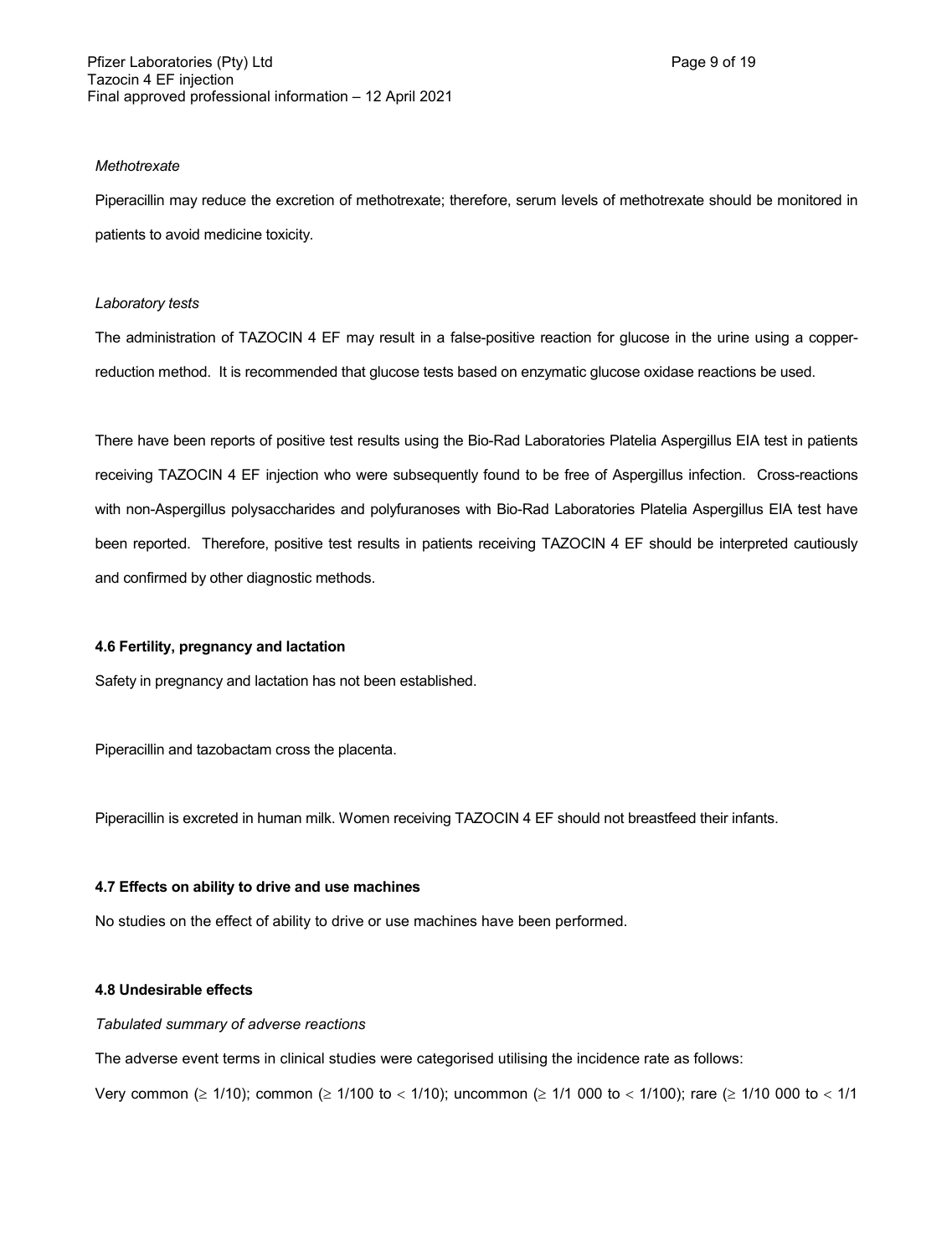### *Methotrexate*

Piperacillin may reduce the excretion of methotrexate; therefore, serum levels of methotrexate should be monitored in patients to avoid medicine toxicity.

### *Laboratory tests*

The administration of TAZOCIN 4 EF may result in a false-positive reaction for glucose in the urine using a copperreduction method. It is recommended that glucose tests based on enzymatic glucose oxidase reactions be used.

There have been reports of positive test results using the Bio-Rad Laboratories Platelia Aspergillus EIA test in patients receiving TAZOCIN 4 EF injection who were subsequently found to be free of Aspergillus infection. Cross-reactions with non-Aspergillus polysaccharides and polyfuranoses with Bio-Rad Laboratories Platelia Aspergillus EIA test have been reported. Therefore, positive test results in patients receiving TAZOCIN 4 EF should be interpreted cautiously and confirmed by other diagnostic methods.

### **4.6 Fertility, pregnancy and lactation**

Safety in pregnancy and lactation has not been established.

Piperacillin and tazobactam cross the placenta.

Piperacillin is excreted in human milk. Women receiving TAZOCIN 4 EF should not breastfeed their infants.

### **4.7 Effects on ability to drive and use machines**

No studies on the effect of ability to drive or use machines have been performed.

### **4.8 Undesirable effects**

### *Tabulated summary of adverse reactions*

The adverse event terms in clinical studies were categorised utilising the incidence rate as follows:

Very common ( $\geq 1/10$ ); common ( $\geq 1/100$  to < 1/10); uncommon ( $\geq 1/1$  000 to < 1/100); rare ( $\geq 1/10$  000 to < 1/1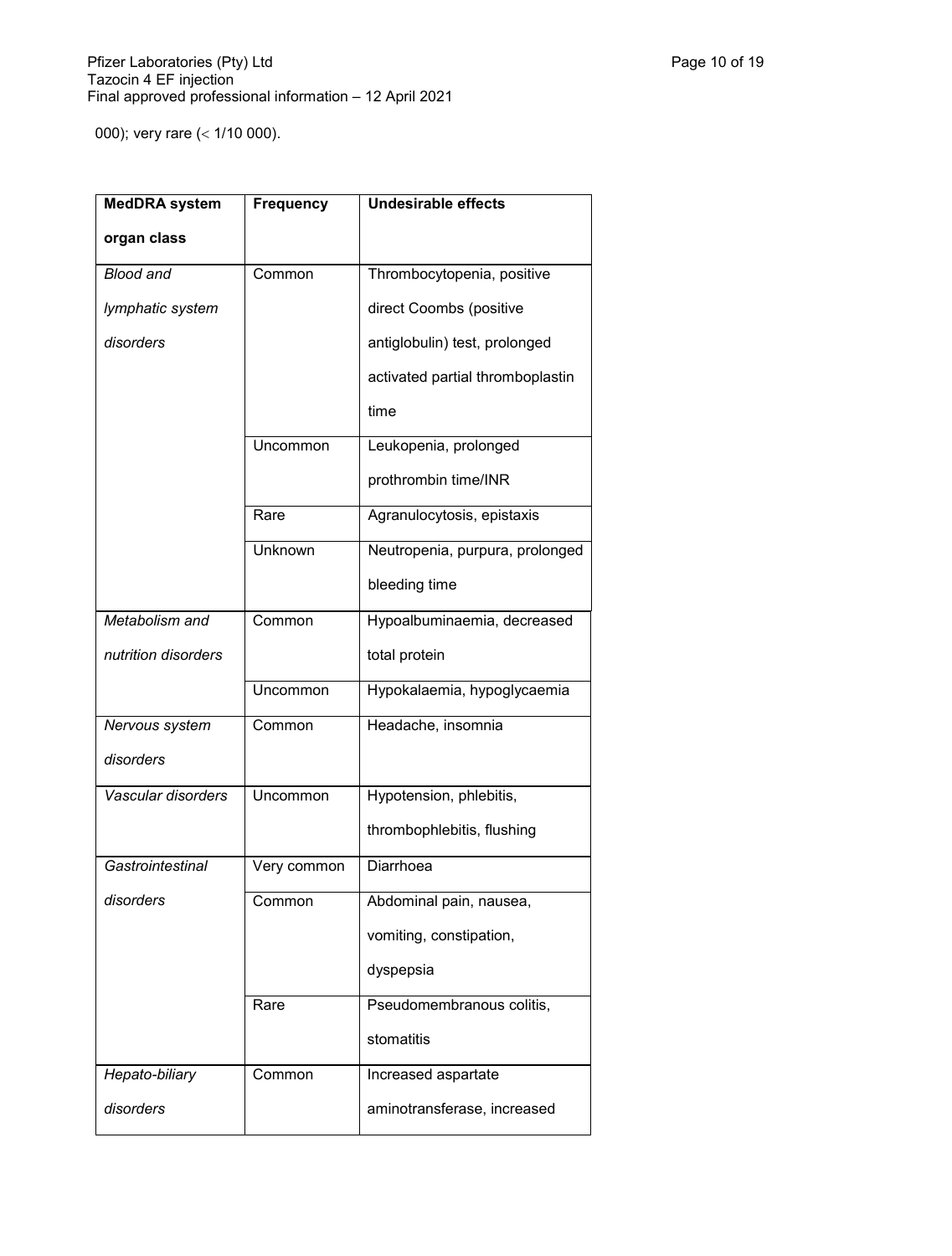000); very rare (< 1/10 000).

| <b>MedDRA</b> system | <b>Frequency</b> | <b>Undesirable effects</b>       |
|----------------------|------------------|----------------------------------|
| organ class          |                  |                                  |
| <b>Blood and</b>     | Common           | Thrombocytopenia, positive       |
| lymphatic system     |                  | direct Coombs (positive          |
| disorders            |                  | antiglobulin) test, prolonged    |
|                      |                  | activated partial thromboplastin |
|                      |                  | time                             |
|                      | Uncommon         | Leukopenia, prolonged            |
|                      |                  | prothrombin time/INR             |
|                      | Rare             | Agranulocytosis, epistaxis       |
|                      | Unknown          | Neutropenia, purpura, prolonged  |
|                      |                  | bleeding time                    |
| Metabolism and       | Common           | Hypoalbuminaemia, decreased      |
| nutrition disorders  |                  | total protein                    |
|                      | Uncommon         | Hypokalaemia, hypoglycaemia      |
| Nervous system       | Common           | Headache, insomnia               |
| disorders            |                  |                                  |
| Vascular disorders   | Uncommon         | Hypotension, phlebitis,          |
|                      |                  | thrombophlebitis, flushing       |
| Gastrointestinal     | Very common      | Diarrhoea                        |
| disorders            | Common           | Abdominal pain, nausea,          |
|                      |                  | vomiting, constipation,          |
|                      |                  | dyspepsia                        |
|                      | Rare             | Pseudomembranous colitis,        |
|                      |                  | stomatitis                       |
| Hepato-biliary       | Common           | Increased aspartate              |
| disorders            |                  | aminotransferase, increased      |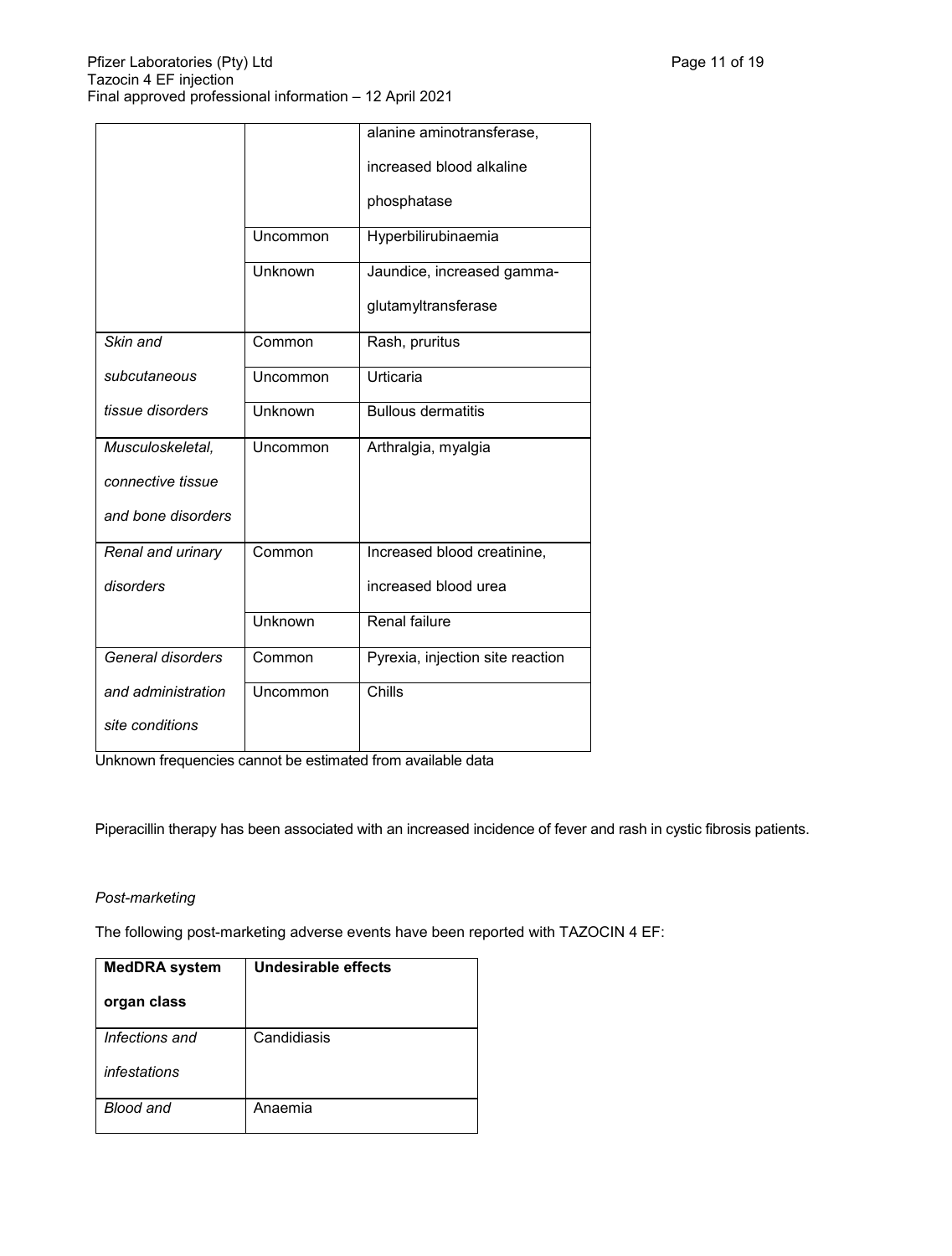|                    |          | alanine aminotransferase,        |
|--------------------|----------|----------------------------------|
|                    |          | increased blood alkaline         |
|                    |          | phosphatase                      |
|                    | Uncommon | Hyperbilirubinaemia              |
|                    | Unknown  | Jaundice, increased gamma-       |
|                    |          | glutamyltransferase              |
| Skin and           | Common   | Rash, pruritus                   |
| subcutaneous       | Uncommon | Urticaria                        |
| tissue disorders   | Unknown  | <b>Bullous dermatitis</b>        |
| Musculoskeletal,   | Uncommon | Arthralgia, myalgia              |
| connective tissue  |          |                                  |
| and bone disorders |          |                                  |
| Renal and urinary  | Common   | Increased blood creatinine,      |
| disorders          |          | increased blood urea             |
|                    | Unknown  | Renal failure                    |
| General disorders  | Common   | Pyrexia, injection site reaction |
| and administration | Uncommon | Chills                           |
| site conditions    |          |                                  |

Unknown frequencies cannot be estimated from available data

Piperacillin therapy has been associated with an increased incidence of fever and rash in cystic fibrosis patients.

# *Post-marketing*

The following post-marketing adverse events have been reported with TAZOCIN 4 EF:

| <b>MedDRA</b> system | Undesirable effects |
|----------------------|---------------------|
| organ class          |                     |
| Infections and       | Candidiasis         |
| infestations         |                     |
| Blood and            | Anaemia             |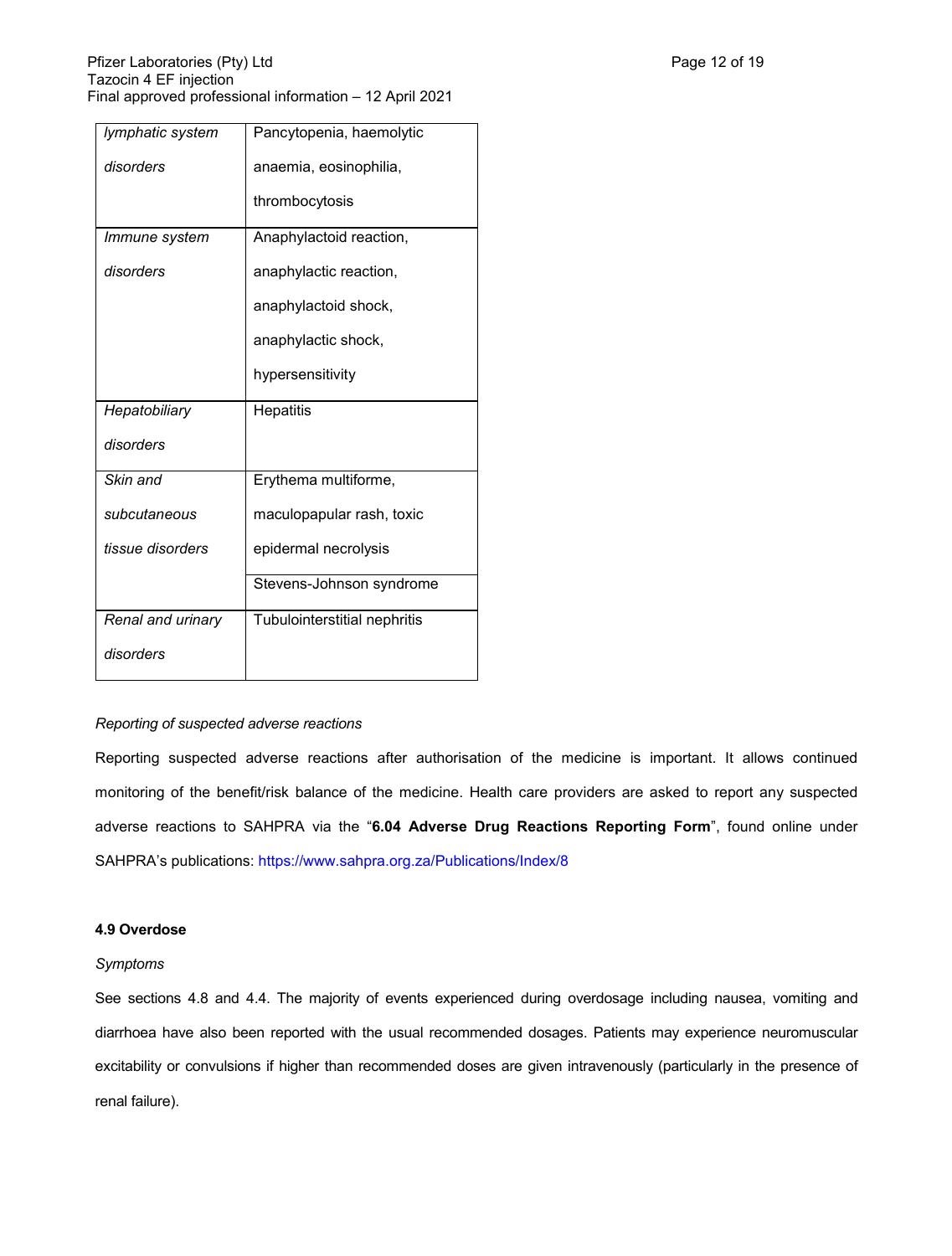| lymphatic system  | Pancytopenia, haemolytic     |
|-------------------|------------------------------|
| disorders         | anaemia, eosinophilia,       |
|                   | thrombocytosis               |
| Immune system     | Anaphylactoid reaction,      |
| disorders         | anaphylactic reaction,       |
|                   | anaphylactoid shock,         |
|                   | anaphylactic shock,          |
|                   | hypersensitivity             |
| Hepatobiliary     | <b>Hepatitis</b>             |
| disorders         |                              |
| Skin and          | Erythema multiforme,         |
| subcutaneous      | maculopapular rash, toxic    |
| tissue disorders  | epidermal necrolysis         |
|                   | Stevens-Johnson syndrome     |
| Renal and urinary | Tubulointerstitial nephritis |
| disorders         |                              |

### *Reporting of suspected adverse reactions*

Reporting suspected adverse reactions after authorisation of the medicine is important. It allows continued monitoring of the benefit/risk balance of the medicine. Health care providers are asked to report any suspected adverse reactions to SAHPRA via the "**6.04 Adverse Drug Reactions Reporting Form**", found online under SAHPRA's publications:<https://www.sahpra.org.za/Publications/Index/8>

### **4.9 Overdose**

#### *Symptoms*

See sections 4.8 and 4.4. The majority of events experienced during overdosage including nausea, vomiting and diarrhoea have also been reported with the usual recommended dosages. Patients may experience neuromuscular excitability or convulsions if higher than recommended doses are given intravenously (particularly in the presence of renal failure).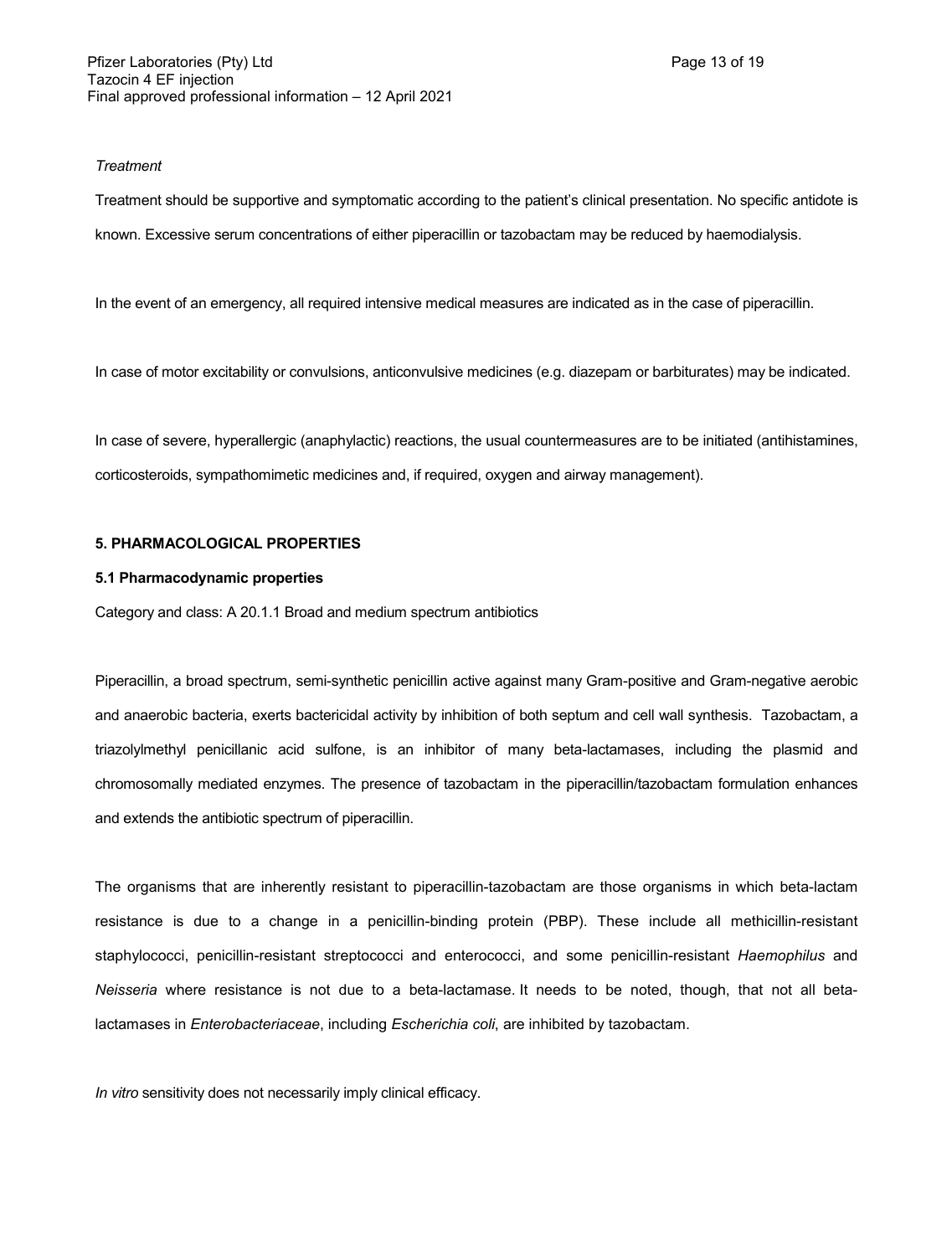#### *Treatment*

Treatment should be supportive and symptomatic according to the patient's clinical presentation. No specific antidote is known. Excessive serum concentrations of either piperacillin or tazobactam may be reduced by haemodialysis.

In the event of an emergency, all required intensive medical measures are indicated as in the case of piperacillin.

In case of motor excitability or convulsions, anticonvulsive medicines (e.g. diazepam or barbiturates) may be indicated.

In case of severe, hyperallergic (anaphylactic) reactions, the usual countermeasures are to be initiated (antihistamines, corticosteroids, sympathomimetic medicines and, if required, oxygen and airway management).

### **5. PHARMACOLOGICAL PROPERTIES**

### **5.1 Pharmacodynamic properties**

Category and class: A 20.1.1 Broad and medium spectrum antibiotics

Piperacillin, a broad spectrum, semi-synthetic penicillin active against many Gram-positive and Gram-negative aerobic and anaerobic bacteria, exerts bactericidal activity by inhibition of both septum and cell wall synthesis. Tazobactam, a triazolylmethyl penicillanic acid sulfone, is an inhibitor of many beta-lactamases, including the plasmid and chromosomally mediated enzymes. The presence of tazobactam in the piperacillin/tazobactam formulation enhances and extends the antibiotic spectrum of piperacillin.

The organisms that are inherently resistant to piperacillin-tazobactam are those organisms in which beta-lactam resistance is due to a change in a penicillin-binding protein (PBP). These include all methicillin-resistant staphylococci, penicillin-resistant streptococci and enterococci, and some penicillin-resistant *Haemophilus* and *Neisseria* where resistance is not due to a beta-lactamase. It needs to be noted, though, that not all betalactamases in *Enterobacteriaceae*, including *Escherichia coli*, are inhibited by tazobactam.

*In vitro* sensitivity does not necessarily imply clinical efficacy.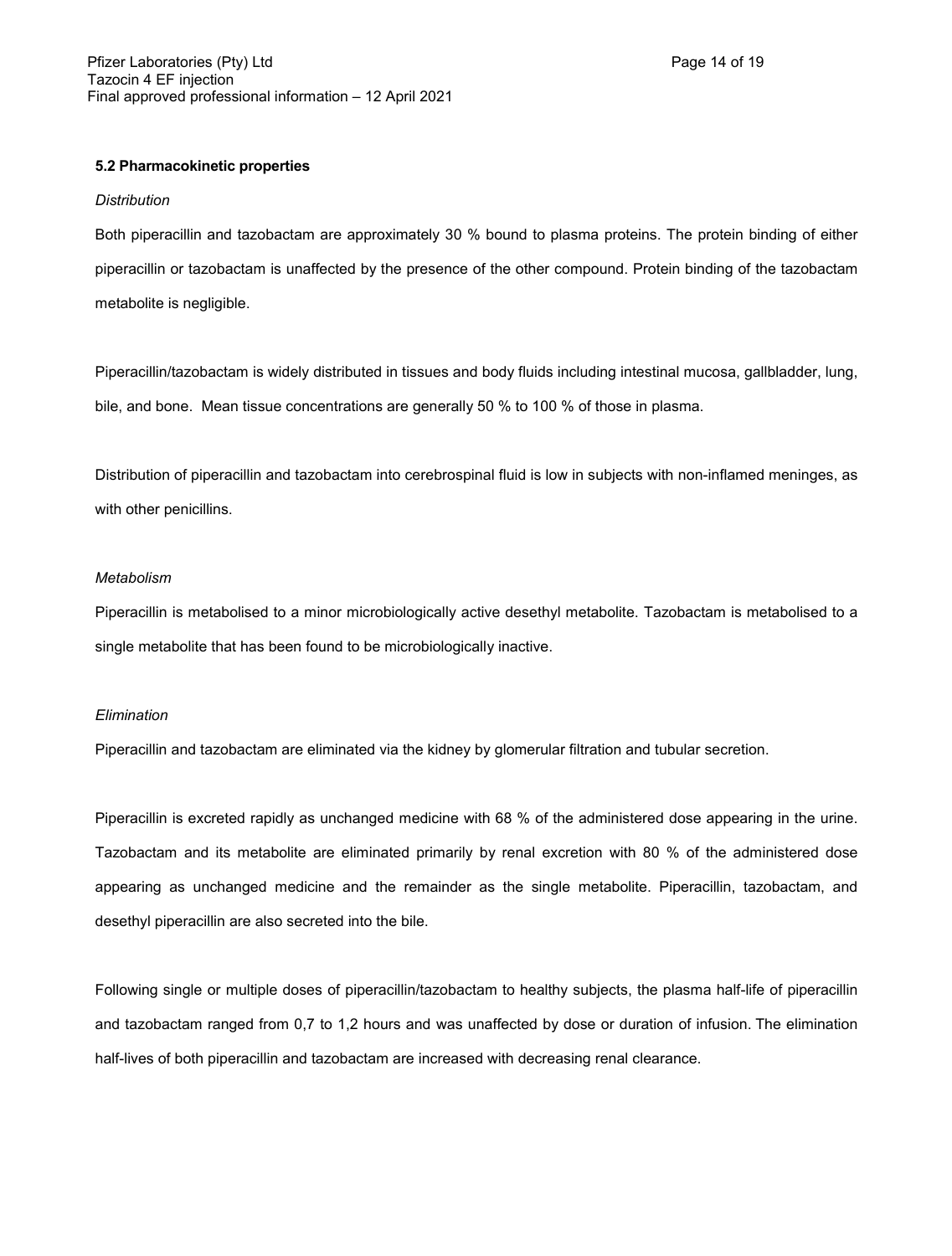### **5.2 Pharmacokinetic properties**

#### *Distribution*

Both piperacillin and tazobactam are approximately 30 % bound to plasma proteins. The protein binding of either piperacillin or tazobactam is unaffected by the presence of the other compound. Protein binding of the tazobactam metabolite is negligible.

Piperacillin/tazobactam is widely distributed in tissues and body fluids including intestinal mucosa, gallbladder, lung, bile, and bone. Mean tissue concentrations are generally 50 % to 100 % of those in plasma.

Distribution of piperacillin and tazobactam into cerebrospinal fluid is low in subjects with non-inflamed meninges, as with other penicillins.

### *Metabolism*

Piperacillin is metabolised to a minor microbiologically active desethyl metabolite. Tazobactam is metabolised to a single metabolite that has been found to be microbiologically inactive.

#### *Elimination*

Piperacillin and tazobactam are eliminated via the kidney by glomerular filtration and tubular secretion.

Piperacillin is excreted rapidly as unchanged medicine with 68 % of the administered dose appearing in the urine. Tazobactam and its metabolite are eliminated primarily by renal excretion with 80 % of the administered dose appearing as unchanged medicine and the remainder as the single metabolite. Piperacillin, tazobactam, and desethyl piperacillin are also secreted into the bile.

Following single or multiple doses of piperacillin/tazobactam to healthy subjects, the plasma half-life of piperacillin and tazobactam ranged from 0,7 to 1,2 hours and was unaffected by dose or duration of infusion. The elimination half-lives of both piperacillin and tazobactam are increased with decreasing renal clearance.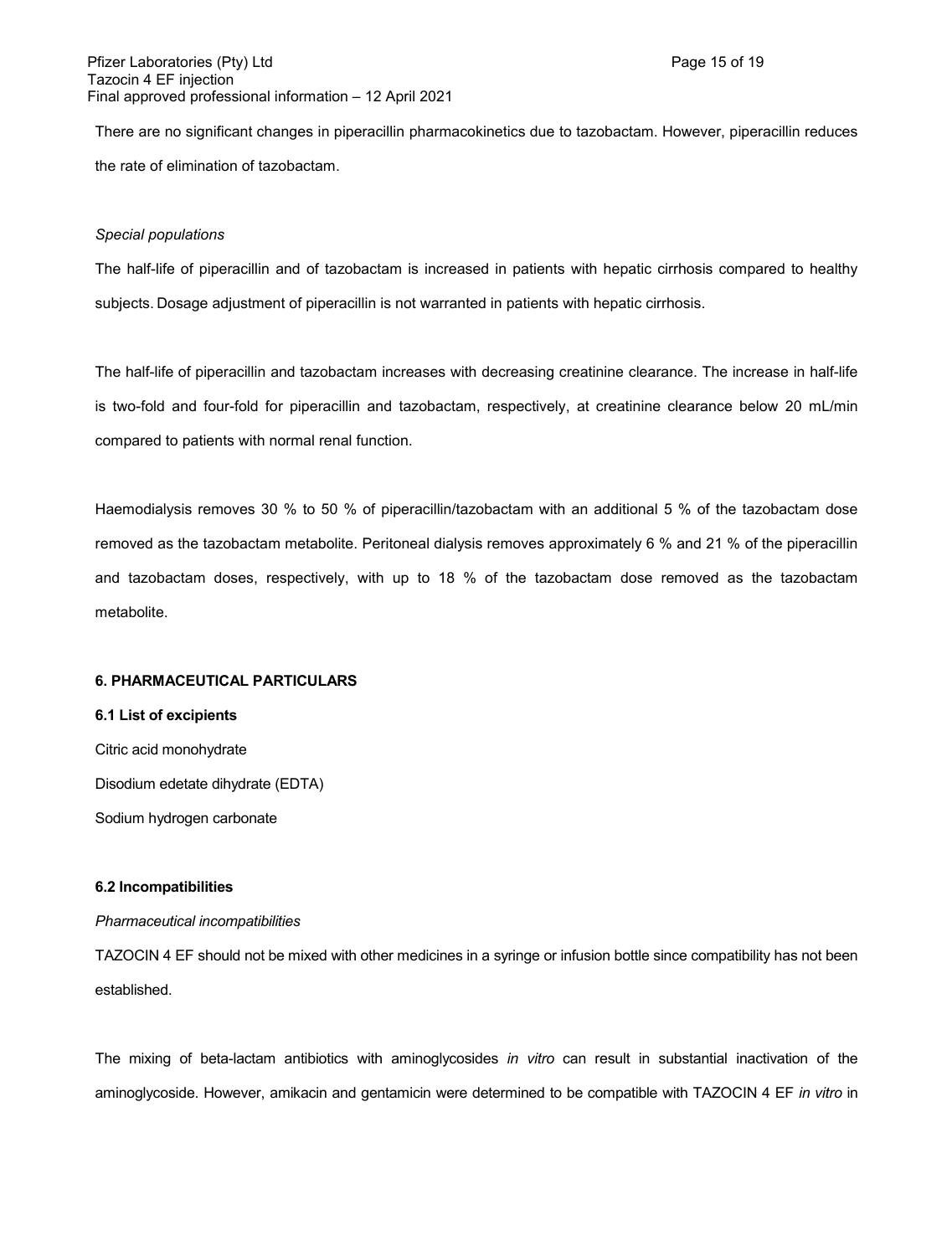There are no significant changes in piperacillin pharmacokinetics due to tazobactam. However, piperacillin reduces the rate of elimination of tazobactam.

#### *Special populations*

The half-life of piperacillin and of tazobactam is increased in patients with hepatic cirrhosis compared to healthy subjects. Dosage adjustment of piperacillin is not warranted in patients with hepatic cirrhosis.

The half-life of piperacillin and tazobactam increases with decreasing creatinine clearance. The increase in half-life is two-fold and four-fold for piperacillin and tazobactam, respectively, at creatinine clearance below 20 mL/min compared to patients with normal renal function.

Haemodialysis removes 30 % to 50 % of piperacillin/tazobactam with an additional 5 % of the tazobactam dose removed as the tazobactam metabolite. Peritoneal dialysis removes approximately 6 % and 21 % of the piperacillin and tazobactam doses, respectively, with up to 18 % of the tazobactam dose removed as the tazobactam metabolite.

### **6. PHARMACEUTICAL PARTICULARS**

#### **6.1 List of excipients**

Citric acid monohydrate Disodium edetate dihydrate (EDTA) Sodium hydrogen carbonate

#### **6.2 Incompatibilities**

### *Pharmaceutical incompatibilities*

TAZOCIN 4 EF should not be mixed with other medicines in a syringe or infusion bottle since compatibility has not been established.

The mixing of beta-lactam antibiotics with aminoglycosides *in vitro* can result in substantial inactivation of the aminoglycoside. However, amikacin and gentamicin were determined to be compatible with TAZOCIN 4 EF *in vitro* in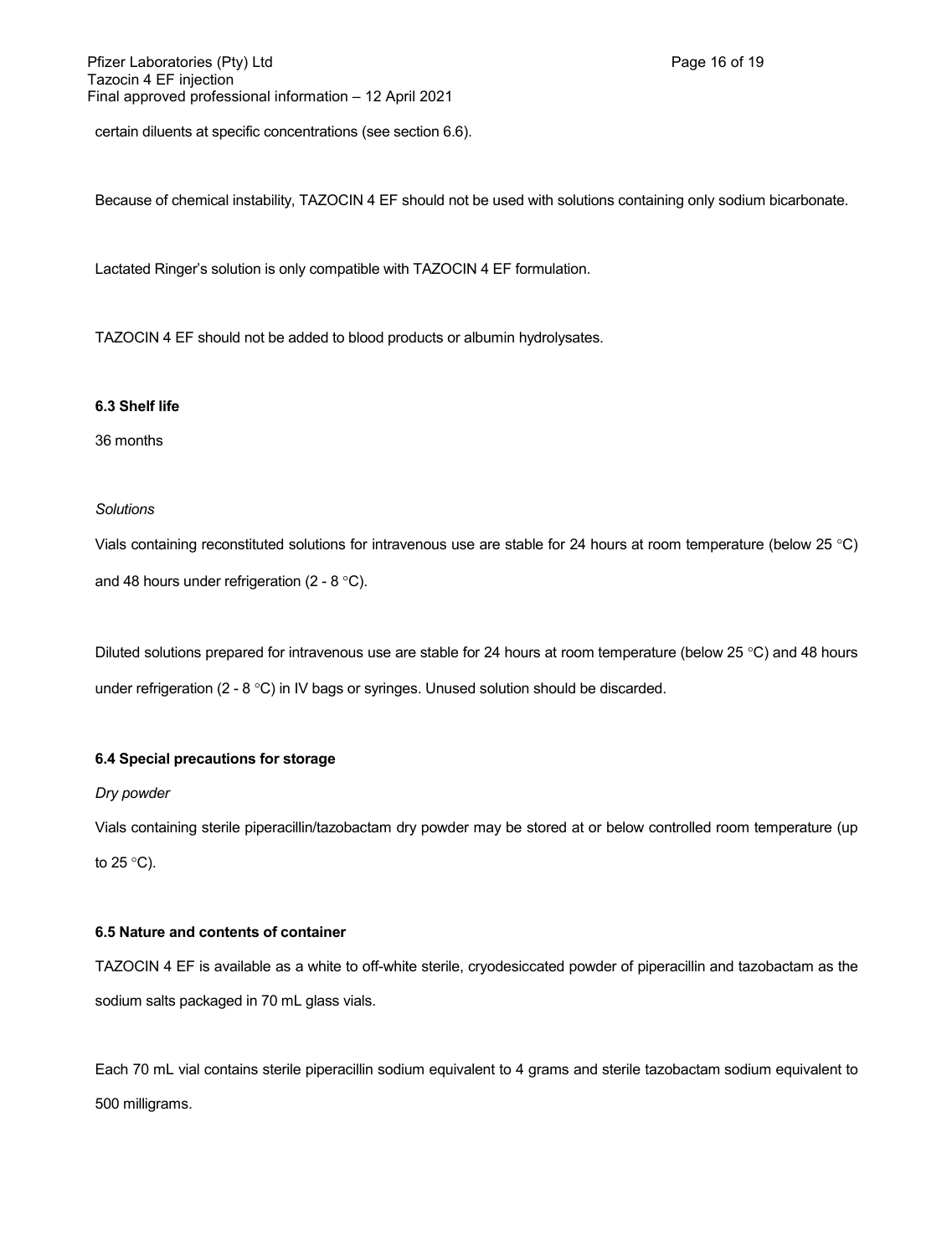certain diluents at specific concentrations (see section 6.6).

Because of chemical instability, TAZOCIN 4 EF should not be used with solutions containing only sodium bicarbonate.

Lactated Ringer's solution is only compatible with TAZOCIN 4 EF formulation.

TAZOCIN 4 EF should not be added to blood products or albumin hydrolysates.

### **6.3 Shelf life**

36 months

### *Solutions*

Vials containing reconstituted solutions for intravenous use are stable for 24 hours at room temperature (below 25 °C) and 48 hours under refrigeration (2 - 8  $^{\circ}$ C).

Diluted solutions prepared for intravenous use are stable for 24 hours at room temperature (below 25 °C) and 48 hours under refrigeration  $(2 - 8 \degree C)$  in IV bags or syringes. Unused solution should be discarded.

### **6.4 Special precautions for storage**

*Dry powder*

Vials containing sterile piperacillin/tazobactam dry powder may be stored at or below controlled room temperature (up to  $25^{\circ}$ C).

### **6.5 Nature and contents of container**

TAZOCIN 4 EF is available as a white to off-white sterile, cryodesiccated powder of piperacillin and tazobactam as the sodium salts packaged in 70 mL glass vials.

Each 70 mL vial contains sterile piperacillin sodium equivalent to 4 grams and sterile tazobactam sodium equivalent to 500 milligrams.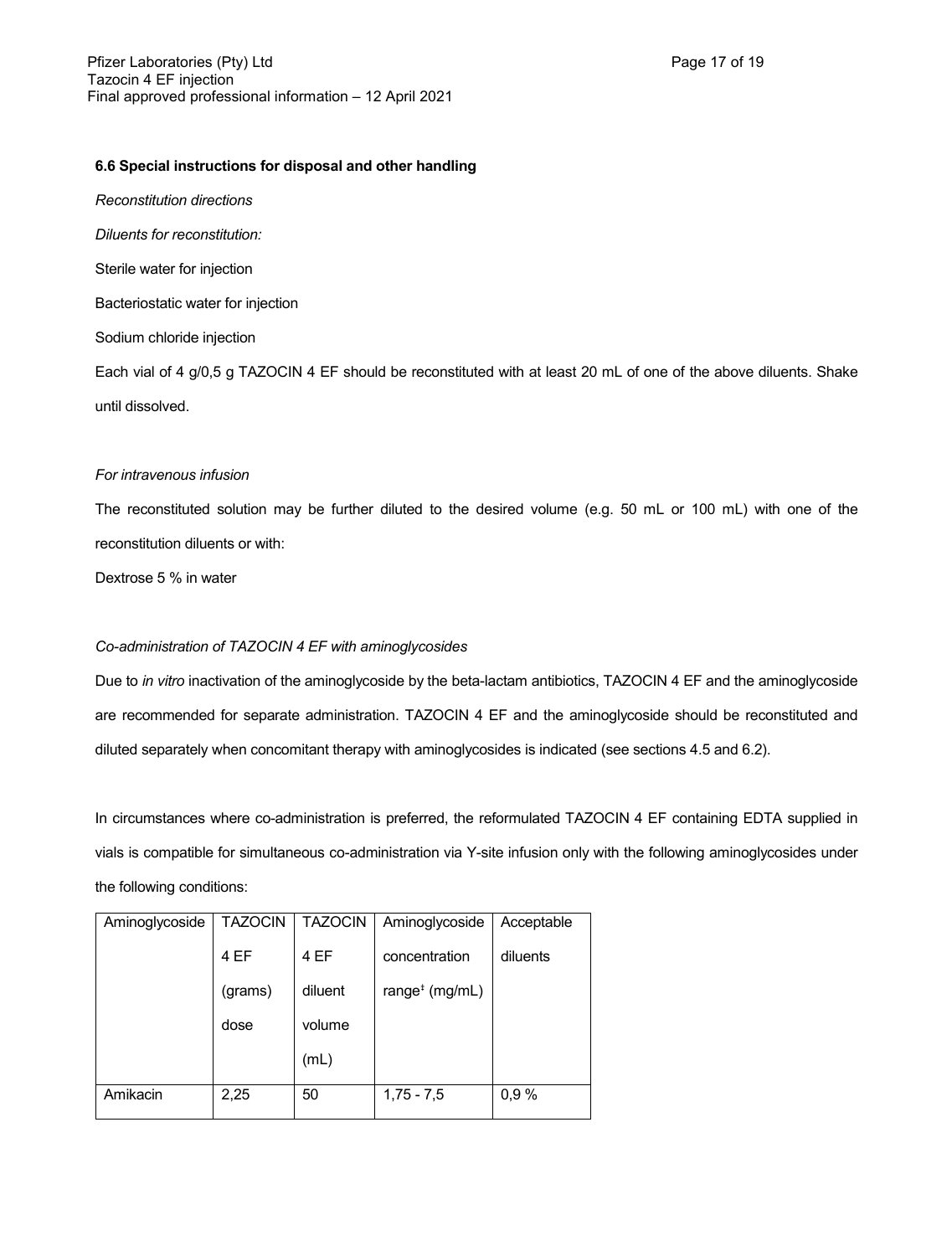### **6.6 Special instructions for disposal and other handling**

*Reconstitution directions*

*Diluents for reconstitution:*

Sterile water for injection

Bacteriostatic water for injection

Sodium chloride injection

Each vial of 4 g/0,5 g TAZOCIN 4 EF should be reconstituted with at least 20 mL of one of the above diluents. Shake until dissolved.

### *For intravenous infusion*

The reconstituted solution may be further diluted to the desired volume (e.g. 50 mL or 100 mL) with one of the reconstitution diluents or with:

Dextrose 5 % in water

### *Co-administration of TAZOCIN 4 EF with aminoglycosides*

Due to *in vitro* inactivation of the aminoglycoside by the beta-lactam antibiotics, TAZOCIN 4 EF and the aminoglycoside are recommended for separate administration. TAZOCIN 4 EF and the aminoglycoside should be reconstituted and diluted separately when concomitant therapy with aminoglycosides is indicated (see sections 4.5 and 6.2).

In circumstances where co-administration is preferred, the reformulated TAZOCIN 4 EF containing EDTA supplied in vials is compatible for simultaneous co-administration via Y-site infusion only with the following aminoglycosides under the following conditions:

| Aminoglycoside | <b>TAZOCIN</b> | <b>TAZOCIN</b> | Aminoglycoside                          | Acceptable |
|----------------|----------------|----------------|-----------------------------------------|------------|
|                | 4 EF           | 4 EF           | concentration                           | diluents   |
|                | (grams)        | diluent        | range <sup><math>*</math></sup> (mg/mL) |            |
|                | dose           | volume         |                                         |            |
|                |                | (mL)           |                                         |            |
| Amikacin       | 2,25           | 50             | $1,75 - 7,5$                            | 0,9%       |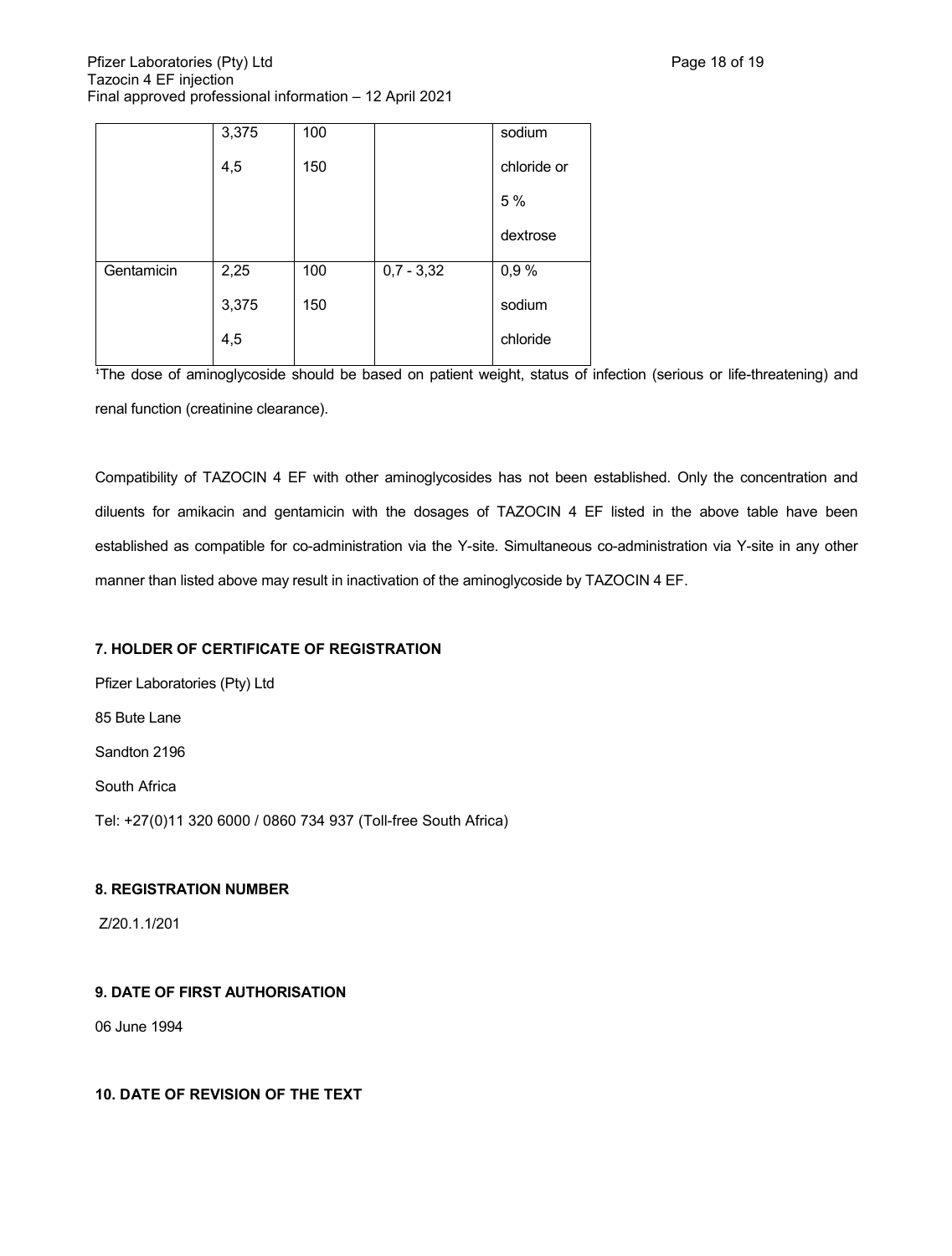|            | 3,375 | 100 |              | sodium      |
|------------|-------|-----|--------------|-------------|
|            | 4,5   | 150 |              | chloride or |
|            |       |     |              | 5 %         |
|            |       |     |              | dextrose    |
| Gentamicin | 2,25  | 100 | $0,7 - 3,32$ | 0,9%        |
|            | 3,375 | 150 |              | sodium      |
|            | 4,5   |     |              | chloride    |
|            |       |     |              |             |

The dose of aminoglycoside should be based on patient weight, status of infection (serious or life-threatening) and renal function (creatinine clearance).

Compatibility of TAZOCIN 4 EF with other aminoglycosides has not been established. Only the concentration and diluents for amikacin and gentamicin with the dosages of TAZOCIN 4 EF listed in the above table have been established as compatible for co-administration via the Y-site. Simultaneous co-administration via Y-site in any other manner than listed above may result in inactivation of the aminoglycoside by TAZOCIN 4 EF.

# **7. HOLDER OF CERTIFICATE OF REGISTRATION**

Pfizer Laboratories (Pty) Ltd 85 Bute Lane Sandton 2196 South Africa Tel: +27(0)11 320 6000 / 0860 734 937 (Toll-free South Africa)

# **8. REGISTRATION NUMBER**

Z/20.1.1/201

# **9. DATE OF FIRST AUTHORISATION**

06 June 1994

### **10. DATE OF REVISION OF THE TEXT**